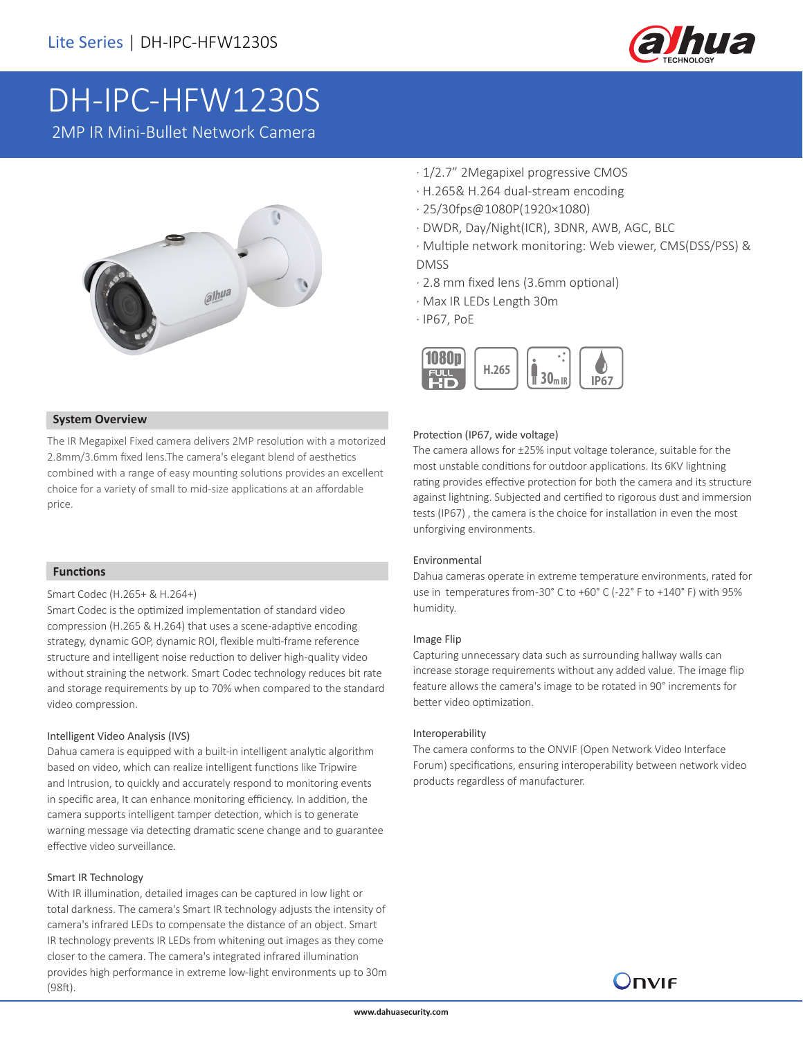

# DH-IPC-HFW1230S

2MP IR Mini-Bullet Network Camera



#### **System Overview**

The IR Megapixel Fixed camera delivers 2MP resolution with a motorized 2.8mm/3.6mm fixed lens.The camera's elegant blend of aesthetics combined with a range of easy mounting solutions provides an excellent choice for a variety of small to mid-size applications at an affordable price.

#### **Functions**

#### Smart Codec (H.265+ & H.264+)

Smart Codec is the optimized implementation of standard video compression (H.265 & H.264) that uses a scene-adaptive encoding strategy, dynamic GOP, dynamic ROI, flexible multi-frame reference structure and intelligent noise reduction to deliver high-quality video without straining the network. Smart Codec technology reduces bit rate and storage requirements by up to 70% when compared to the standard video compression.

#### Intelligent Video Analysis (IVS)

Dahua camera is equipped with a built-in intelligent analytic algorithm based on video, which can realize intelligent functions like Tripwire and Intrusion, to quickly and accurately respond to monitoring events in specific area, It can enhance monitoring efficiency. In addition, the camera supports intelligent tamper detection, which is to generate warning message via detecting dramatic scene change and to guarantee effective video surveillance.

#### Smart IR Technology

With IR illumination, detailed images can be captured in low light or total darkness. The camera's Smart IR technology adjusts the intensity of camera's infrared LEDs to compensate the distance of an object. Smart IR technology prevents IR LEDs from whitening out images as they come closer to the camera. The camera's integrated infrared illumination provides high performance in extreme low-light environments up to 30m (98ft).

- · 1/2.7" 2Megapixel progressive CMOS
- · H.265& H.264 dual-stream encoding
- · 25/30fps@1080P(1920×1080)
- · DWDR, Day/Night(ICR), 3DNR, AWB, AGC, BLC
- · Multiple network monitoring: Web viewer, CMS(DSS/PSS) & DMSS
- · 2.8 mm fixed lens (3.6mm optional)
- · Max IR LEDs Length 30m
- · IP67, PoE



#### Protection (IP67, wide voltage)

The camera allows for ±25% input voltage tolerance, suitable for the most unstable conditions for outdoor applications. Its 6KV lightning rating provides effective protection for both the camera and its structure against lightning. Subjected and certified to rigorous dust and immersion tests (IP67) , the camera is the choice for installation in even the most unforgiving environments.

#### Environmental

Dahua cameras operate in extreme temperature environments, rated for use in temperatures from -30° C to +60° C (-22° F to +140° F) with 95% humidity.

#### Image Flip

Capturing unnecessary data such as surrounding hallway walls can increase storage requirements without any added value. The image flip feature allows the camera's image to be rotated in 90° increments for better video optimization.

#### Interoperability

The camera conforms to the ONVIF (Open Network Video Interface Forum) specifications, ensuring interoperability between network video products regardless of manufacturer.

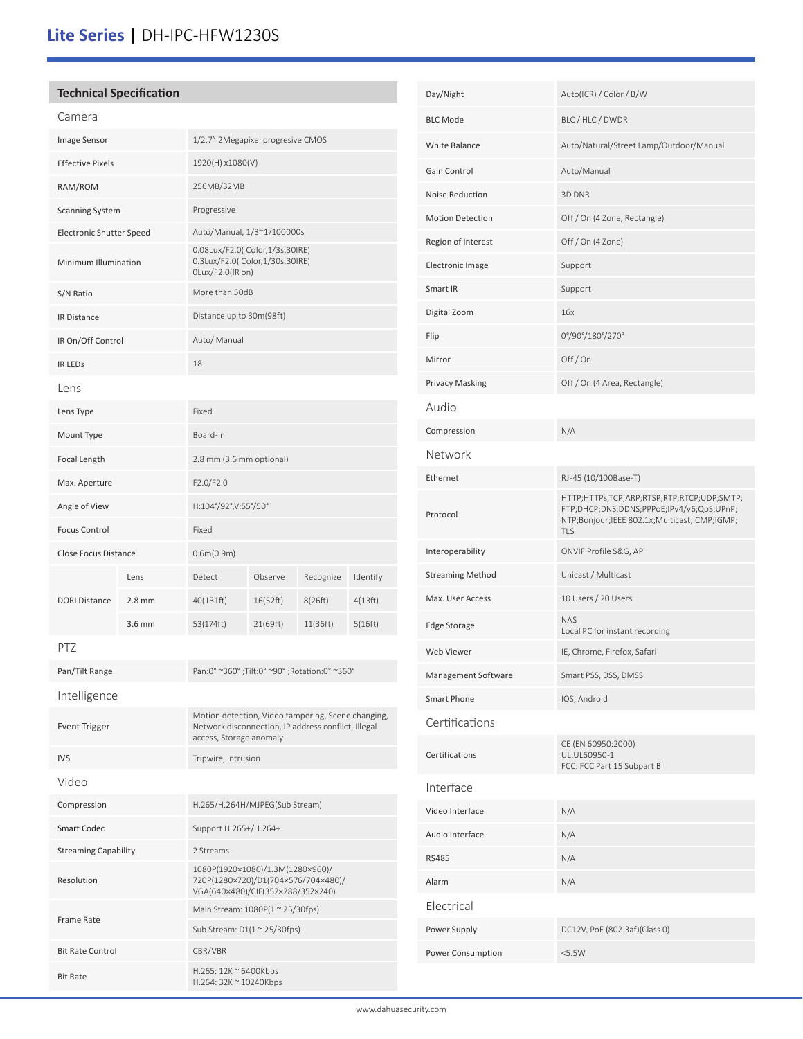## **Lite Series |** DH-IPC-HFW1230S

### **Technical Specification** Camera Image Sensor 1/2.7" 2Megapixel progresive CMOS Effective Pixels 1920(H) x1080(V) RAM/ROM 256MB/32MB Scanning System Progressive Electronic Shutter Speed Auto/Manual, 1/3~1/100000s Minimum Illumination 0.08Lux/F2.0( Color,1/3s,30IRE) 0.3Lux/F2.0( Color,1/30s,30IRE) 0Lux/F2.0(IR on) S/N Ratio More than 50dB IR Distance Distance up to 30m(98ft) IR On/Off Control Auto/ Manual IR LEDS 18 Lens Lens Type Fixed Mount Type Board-in Focal Length 2.8 mm (3.6 mm optional) Max. Aperture F2.0/F2.0 Angle of View H:104°/92°, V:55°/50° Focus Control Fixed Close Focus Distance 0.6m(0.9m) DORI Distance Lens Detect Observe Recognize Identify 2.8 mm 40(131ft) 16(52ft) 8(26ft) 4(13ft) 3.6 mm 53(174ft) 21(69ft) 11(36ft) 5(16ft) PTZ Pan/Tilt Range Pan:0° ~360° ;Tilt:0° ~90° ;Rotation:0° ~360° Intelligence Event Trigger Motion detection, Video tampering, Scene changing, Network disconnection, IP address conflict, Illegal access, Storage anomaly IVS Tripwire, Intrusion Video Compression H.265/H.264H/MJPEG(Sub Stream) Smart Codec Support H.265+/H.264+ Streaming Capability **2 Streams** Resolution 1080P(1920×1080)/1.3M(1280×960)/ 720P(1280×720)/D1(704×576/704×480)/ VGA(640×480)/CIF(352×288/352×240) Frame Rate Main Stream: 1080P(1 ~ 25/30fps) Sub Stream: D1(1 ~ 25/30fps)

Bit Rate Control CBR/VBR

Bit Rate H.265: 12K ~ 6400Kbps H.264: 32K ~ 10240Kbps

| Day/Night               | Auto(ICR) / Color / B/W                                                                                                                        |
|-------------------------|------------------------------------------------------------------------------------------------------------------------------------------------|
| <b>BLC Mode</b>         | BLC / HLC / DWDR                                                                                                                               |
| White Balance           | Auto/Natural/Street Lamp/Outdoor/Manual                                                                                                        |
| Gain Control            | Auto/Manual                                                                                                                                    |
| Noise Reduction         | 3D DNR                                                                                                                                         |
| <b>Motion Detection</b> | Off / On (4 Zone, Rectangle)                                                                                                                   |
| Region of Interest      | Off / On (4 Zone)                                                                                                                              |
| Electronic Image        | Support                                                                                                                                        |
| Smart IR                | Support                                                                                                                                        |
| Digital Zoom            | 16x                                                                                                                                            |
| Flip                    | 0°/90°/180°/270°                                                                                                                               |
| Mirror                  | Off/On                                                                                                                                         |
| <b>Privacy Masking</b>  | Off / On (4 Area, Rectangle)                                                                                                                   |
| Audio                   |                                                                                                                                                |
| Compression             | N/A                                                                                                                                            |
| Network                 |                                                                                                                                                |
| Ethernet                | RJ-45 (10/100Base-T)                                                                                                                           |
| Protocol                | HTTP;HTTPs;TCP;ARP;RTSP;RTP;RTCP;UDP;SMTP;<br>FTP;DHCP;DNS;DDNS;PPPoE;IPv4/v6;QoS;UPnP;<br>NTP;Bonjour;IEEE 802.1x;Multicast;ICMP;IGMP;<br>TLS |
| Interoperability        | ONVIF Profile S&G, API                                                                                                                         |
| <b>Streaming Method</b> | Unicast / Multicast                                                                                                                            |
| Max. User Access        | 10 Users / 20 Users                                                                                                                            |
| Edge Storage            | <b>NAS</b><br>Local PC for instant recording                                                                                                   |
| Web Viewer              | IE, Chrome, Firefox, Safari                                                                                                                    |
| Management Software     | Smart PSS, DSS, DMSS                                                                                                                           |
| Smart Phone             | IOS, Android                                                                                                                                   |
| Certifications          |                                                                                                                                                |
| Certifications          | CE (EN 60950:2000)<br>UL:UL60950-1<br>FCC: FCC Part 15 Subpart B                                                                               |
| Interface               |                                                                                                                                                |
| Video Interface         | N/A                                                                                                                                            |
| Audio Interface         | N/A                                                                                                                                            |
| <b>RS485</b>            | N/A                                                                                                                                            |
| Alarm                   | N/A                                                                                                                                            |
| Electrical              |                                                                                                                                                |
| Power Supply            | DC12V, PoE (802.3af)(Class 0)                                                                                                                  |
| Power Consumption       | <5.5W                                                                                                                                          |